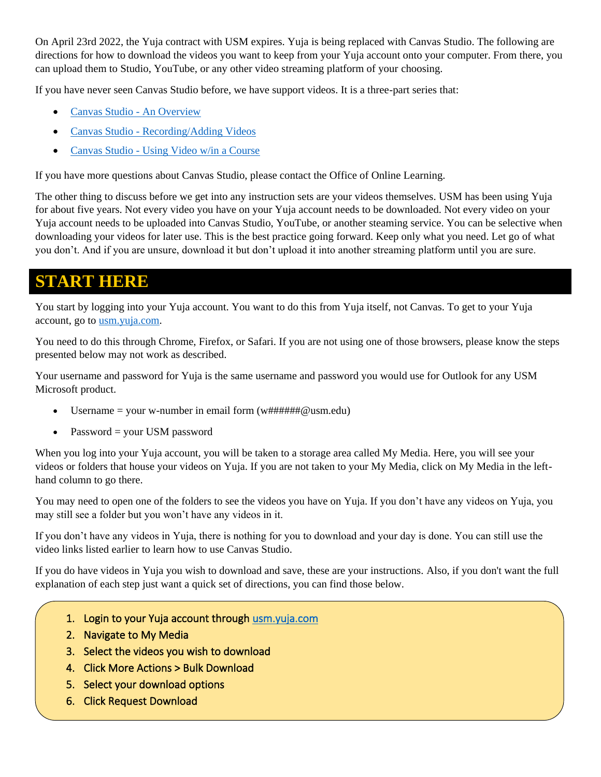On April 23rd 2022, the Yuja contract with USM expires. Yuja is being replaced with Canvas Studio. The following are directions for how to download the videos you want to keep from your Yuja account onto your computer. From there, you can upload them to Studio, YouTube, or any other video streaming platform of your choosing.

If you have never seen Canvas Studio before, we have support videos. It is a three-part series that:

- [Canvas Studio -](https://youtu.be/KUcIdPIqDmM) An Overview
- Canvas Studio [Recording/Adding Videos](https://youtu.be/Qbrt__Ll-Es)
- Canvas Studio [Using Video w/in a Course](https://youtu.be/EEIh25I68QE)

If you have more questions about Canvas Studio, please contact the Office of Online Learning.

The other thing to discuss before we get into any instruction sets are your videos themselves. USM has been using Yuja for about five years. Not every video you have on your Yuja account needs to be downloaded. Not every video on your Yuja account needs to be uploaded into Canvas Studio, YouTube, or another steaming service. You can be selective when downloading your videos for later use. This is the best practice going forward. Keep only what you need. Let go of what you don't. And if you are unsure, download it but don't upload it into another streaming platform until you are sure.

### **START HERE**

You start by logging into your Yuja account. You want to do this from Yuja itself, not Canvas. To get to your Yuja account, go to [usm.yuja.com.](http://usm.yuja.com/)

You need to do this through Chrome, Firefox, or Safari. If you are not using one of those browsers, please know the steps presented below may not work as described.

Your username and password for Yuja is the same username and password you would use for Outlook for any USM Microsoft product.

- Username = your w-number in email form  $(w\# \# \# \# \omega$ usm.edu)
- Password = your USM password

When you log into your Yuja account, you will be taken to a storage area called My Media. Here, you will see your videos or folders that house your videos on Yuja. If you are not taken to your My Media, click on My Media in the lefthand column to go there.

You may need to open one of the folders to see the videos you have on Yuja. If you don't have any videos on Yuja, you may still see a folder but you won't have any videos in it.

If you don't have any videos in Yuja, there is nothing for you to download and your day is done. You can still use the video links listed earlier to learn how to use Canvas Studio.

If you do have videos in Yuja you wish to download and save, these are your instructions. Also, if you don't want the full explanation of each step just want a quick set of directions, you can find those below.

1. Login to your Yuja account through usm.yuja.com

 $\overline{1}$  . Click on each link in the email from Yuja to download the videos to download the videos to download the videos

- 2. Navigate to My Media
- 3. Select the videos you wish to download
- 4. Click More Actions > Bulk Download
- 5. Select your download options
- 6. Click Request Download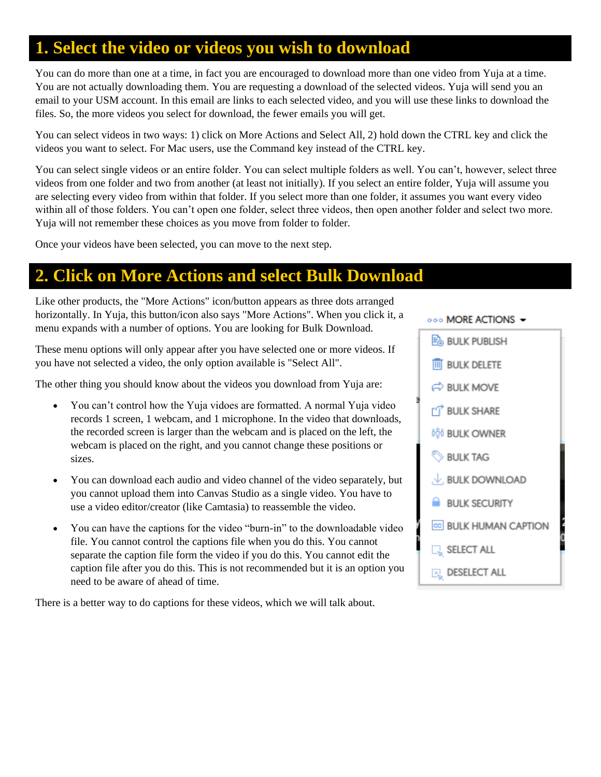# **1. Select the video or videos you wish to download**

You can do more than one at a time, in fact you are encouraged to download more than one video from Yuja at a time. You are not actually downloading them. You are requesting a download of the selected videos. Yuja will send you an email to your USM account. In this email are links to each selected video, and you will use these links to download the files. So, the more videos you select for download, the fewer emails you will get.

You can select videos in two ways: 1) click on More Actions and Select All, 2) hold down the CTRL key and click the videos you want to select. For Mac users, use the Command key instead of the CTRL key.

You can select single videos or an entire folder. You can select multiple folders as well. You can't, however, select three videos from one folder and two from another (at least not initially). If you select an entire folder, Yuja will assume you are selecting every video from within that folder. If you select more than one folder, it assumes you want every video within all of those folders. You can't open one folder, select three videos, then open another folder and select two more. Yuja will not remember these choices as you move from folder to folder.

Once your videos have been selected, you can move to the next step.

### **2. Click on More Actions and select Bulk Download**

Like other products, the "More Actions" icon/button appears as three dots arranged horizontally. In Yuja, this button/icon also says "More Actions". When you click it, a menu expands with a number of options. You are looking for Bulk Download.

These menu options will only appear after you have selected one or more videos. If you have not selected a video, the only option available is "Select All".

The other thing you should know about the videos you download from Yuja are:

- You can't control how the Yuja vidoes are formatted. A normal Yuja video records 1 screen, 1 webcam, and 1 microphone. In the video that downloads, the recorded screen is larger than the webcam and is placed on the left, the webcam is placed on the right, and you cannot change these positions or sizes.
- You can download each audio and video channel of the video separately, but you cannot upload them into Canvas Studio as a single video. You have to use a video editor/creator (like Camtasia) to reassemble the video.
- You can have the captions for the video "burn-in" to the downloadable video file. You cannot control the captions file when you do this. You cannot separate the caption file form the video if you do this. You cannot edit the caption file after you do this. This is not recommended but it is an option you need to be aware of ahead of time.

There is a better way to do captions for these videos, which we will talk about.

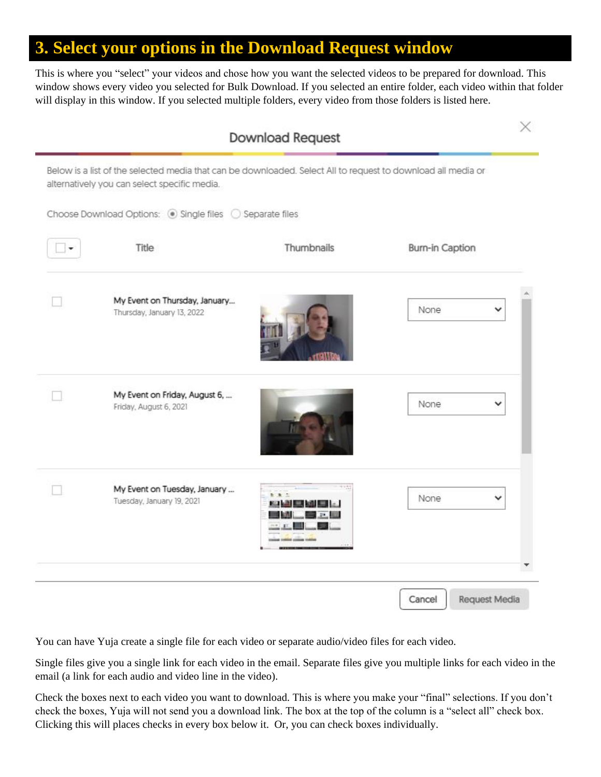# **3. Select your options in the Download Request window**

This is where you "select" your videos and chose how you want the selected videos to be prepared for download. This window shows every video you selected for Bulk Download. If you selected an entire folder, each video within that folder will display in this window. If you selected multiple folders, every video from those folders is listed here.

| Choose Download Options: 5 Single files 5 Separate files |                                                             |                |                        |
|----------------------------------------------------------|-------------------------------------------------------------|----------------|------------------------|
| ٠                                                        | Title                                                       | Thumbnails     | <b>Burn-in Caption</b> |
|                                                          | My Event on Thursday, January<br>Thursday, January 13, 2022 |                | None<br>v              |
|                                                          | My Event on Friday, August 6,<br>Friday, August 6, 2021     |                | None<br>v              |
|                                                          | My Event on Tuesday, January<br>Tuesday, January 19, 2021   | b. B.<br>17.14 | None                   |

You can have Yuja create a single file for each video or separate audio/video files for each video.

Single files give you a single link for each video in the email. Separate files give you multiple links for each video in the email (a link for each audio and video line in the video).

Check the boxes next to each video you want to download. This is where you make your "final" selections. If you don't check the boxes, Yuja will not send you a download link. The box at the top of the column is a "select all" check box. Clicking this will places checks in every box below it. Or, you can check boxes individually.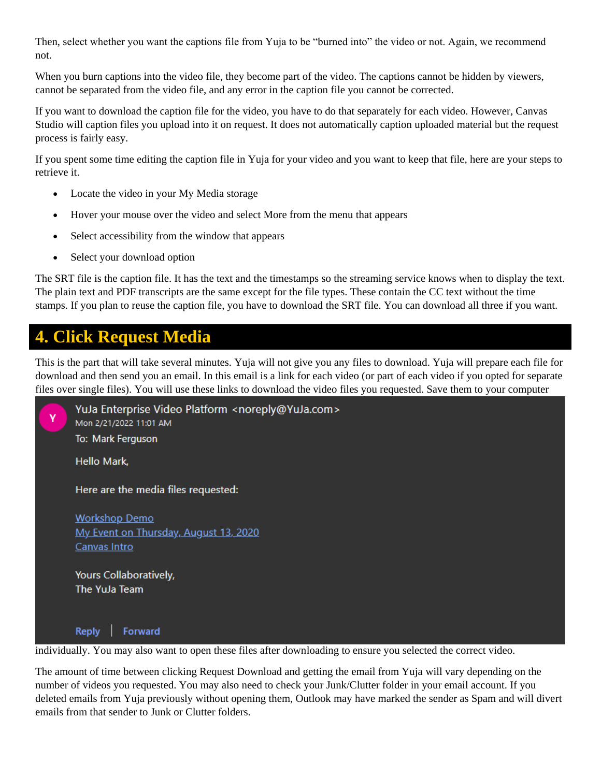Then, select whether you want the captions file from Yuja to be "burned into" the video or not. Again, we recommend not.

When you burn captions into the video file, they become part of the video. The captions cannot be hidden by viewers, cannot be separated from the video file, and any error in the caption file you cannot be corrected.

If you want to download the caption file for the video, you have to do that separately for each video. However, Canvas Studio will caption files you upload into it on request. It does not automatically caption uploaded material but the request process is fairly easy.

If you spent some time editing the caption file in Yuja for your video and you want to keep that file, here are your steps to retrieve it.

- Locate the video in your My Media storage
- Hover your mouse over the video and select More from the menu that appears
- Select accessibility from the window that appears
- Select your download option

The SRT file is the caption file. It has the text and the timestamps so the streaming service knows when to display the text. The plain text and PDF transcripts are the same except for the file types. These contain the CC text without the time stamps. If you plan to reuse the caption file, you have to download the SRT file. You can download all three if you want.

## **4. Click Request Media**

This is the part that will take several minutes. Yuja will not give you any files to download. Yuja will prepare each file for download and then send you an email. In this email is a link for each video (or part of each video if you opted for separate files over single files). You will use these links to download the video files you requested. Save them to your computer



The amount of time between clicking Request Download and getting the email from Yuja will vary depending on the number of videos you requested. You may also need to check your Junk/Clutter folder in your email account. If you deleted emails from Yuja previously without opening them, Outlook may have marked the sender as Spam and will divert emails from that sender to Junk or Clutter folders.